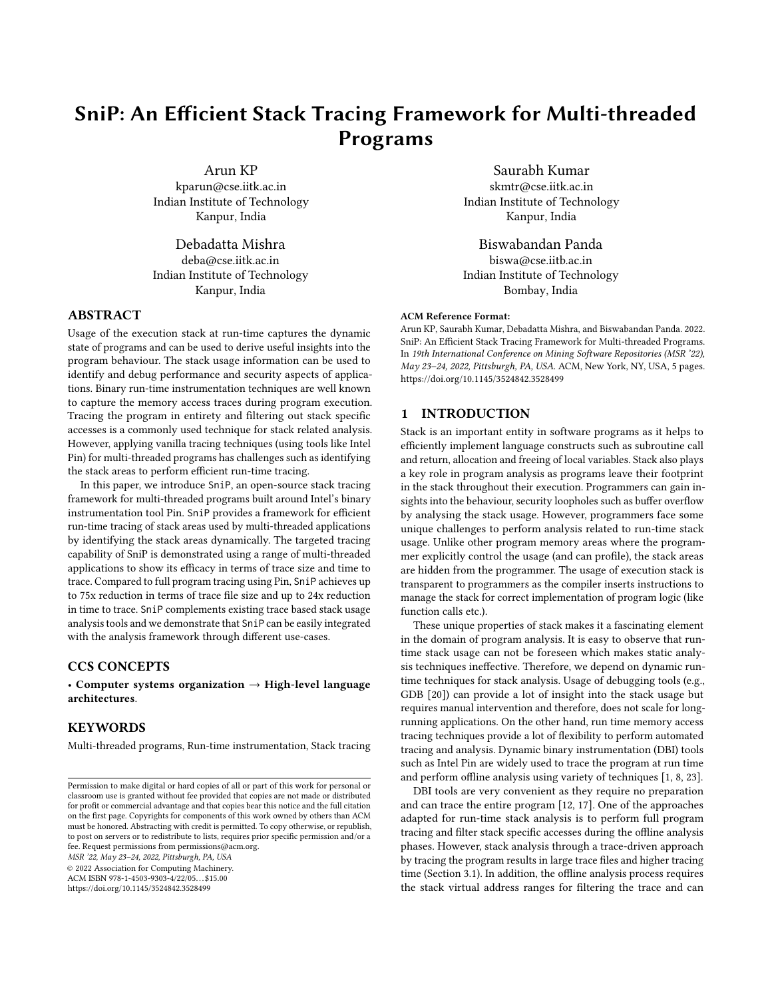# SniP: An Efficient Stack Tracing Framework for Multi-threaded Programs

Arun KP kparun@cse.iitk.ac.in Indian Institute of Technology

Kanpur, India Debadatta Mishra

deba@cse.iitk.ac.in Indian Institute of Technology Kanpur, India

# ABSTRACT

Usage of the execution stack at run-time captures the dynamic state of programs and can be used to derive useful insights into the program behaviour. The stack usage information can be used to identify and debug performance and security aspects of applications. Binary run-time instrumentation techniques are well known to capture the memory access traces during program execution. Tracing the program in entirety and filtering out stack specific accesses is a commonly used technique for stack related analysis. However, applying vanilla tracing techniques (using tools like Intel Pin) for multi-threaded programs has challenges such as identifying the stack areas to perform efficient run-time tracing.

In this paper, we introduce SniP, an open-source stack tracing framework for multi-threaded programs built around Intel's binary instrumentation tool Pin. SniP provides a framework for efficient run-time tracing of stack areas used by multi-threaded applications by identifying the stack areas dynamically. The targeted tracing capability of SniP is demonstrated using a range of multi-threaded applications to show its efficacy in terms of trace size and time to trace. Compared to full program tracing using Pin, SniP achieves up to 75x reduction in terms of trace file size and up to 24x reduction in time to trace. SniP complements existing trace based stack usage analysis tools and we demonstrate that SniP can be easily integrated with the analysis framework through different use-cases.

### CCS CONCEPTS

• Computer systems organization  $\rightarrow$  High-level language architectures.

## **KEYWORDS**

Multi-threaded programs, Run-time instrumentation, Stack tracing

MSR '22, May 23–24, 2022, Pittsburgh, PA, USA

© 2022 Association for Computing Machinery.

ACM ISBN 978-1-4503-9303-4/22/05. . . \$15.00

<https://doi.org/10.1145/3524842.3528499>

Saurabh Kumar skmtr@cse.iitk.ac.in Indian Institute of Technology Kanpur, India

Biswabandan Panda biswa@cse.iitb.ac.in Indian Institute of Technology Bombay, India

#### ACM Reference Format:

Arun KP, Saurabh Kumar, Debadatta Mishra, and Biswabandan Panda. 2022. SniP: An Efficient Stack Tracing Framework for Multi-threaded Programs. In 19th International Conference on Mining Software Repositories (MSR '22), May 23–24, 2022, Pittsburgh, PA, USA. ACM, New York, NY, USA, [5](#page-4-0) pages. <https://doi.org/10.1145/3524842.3528499>

# 1 INTRODUCTION

Stack is an important entity in software programs as it helps to efficiently implement language constructs such as subroutine call and return, allocation and freeing of local variables. Stack also plays a key role in program analysis as programs leave their footprint in the stack throughout their execution. Programmers can gain insights into the behaviour, security loopholes such as buffer overflow by analysing the stack usage. However, programmers face some unique challenges to perform analysis related to run-time stack usage. Unlike other program memory areas where the programmer explicitly control the usage (and can profile), the stack areas are hidden from the programmer. The usage of execution stack is transparent to programmers as the compiler inserts instructions to manage the stack for correct implementation of program logic (like function calls etc.).

These unique properties of stack makes it a fascinating element in the domain of program analysis. It is easy to observe that runtime stack usage can not be foreseen which makes static analysis techniques ineffective. Therefore, we depend on dynamic runtime techniques for stack analysis. Usage of debugging tools (e.g., GDB [\[20\]](#page-4-1)) can provide a lot of insight into the stack usage but requires manual intervention and therefore, does not scale for longrunning applications. On the other hand, run time memory access tracing techniques provide a lot of flexibility to perform automated tracing and analysis. Dynamic binary instrumentation (DBI) tools such as Intel Pin are widely used to trace the program at run time and perform offline analysis using variety of techniques [\[1,](#page-4-2) [8,](#page-4-3) [23\]](#page-4-4).

DBI tools are very convenient as they require no preparation and can trace the entire program [\[12,](#page-4-5) [17\]](#page-4-6). One of the approaches adapted for run-time stack analysis is to perform full program tracing and filter stack specific accesses during the offline analysis phases. However, stack analysis through a trace-driven approach by tracing the program results in large trace files and higher tracing time (Section [3.1\)](#page-1-0). In addition, the offline analysis process requires the stack virtual address ranges for filtering the trace and can

Permission to make digital or hard copies of all or part of this work for personal or classroom use is granted without fee provided that copies are not made or distributed for profit or commercial advantage and that copies bear this notice and the full citation on the first page. Copyrights for components of this work owned by others than ACM must be honored. Abstracting with credit is permitted. To copy otherwise, or republish, to post on servers or to redistribute to lists, requires prior specific permission and/or a fee. Request permissions from permissions@acm.org.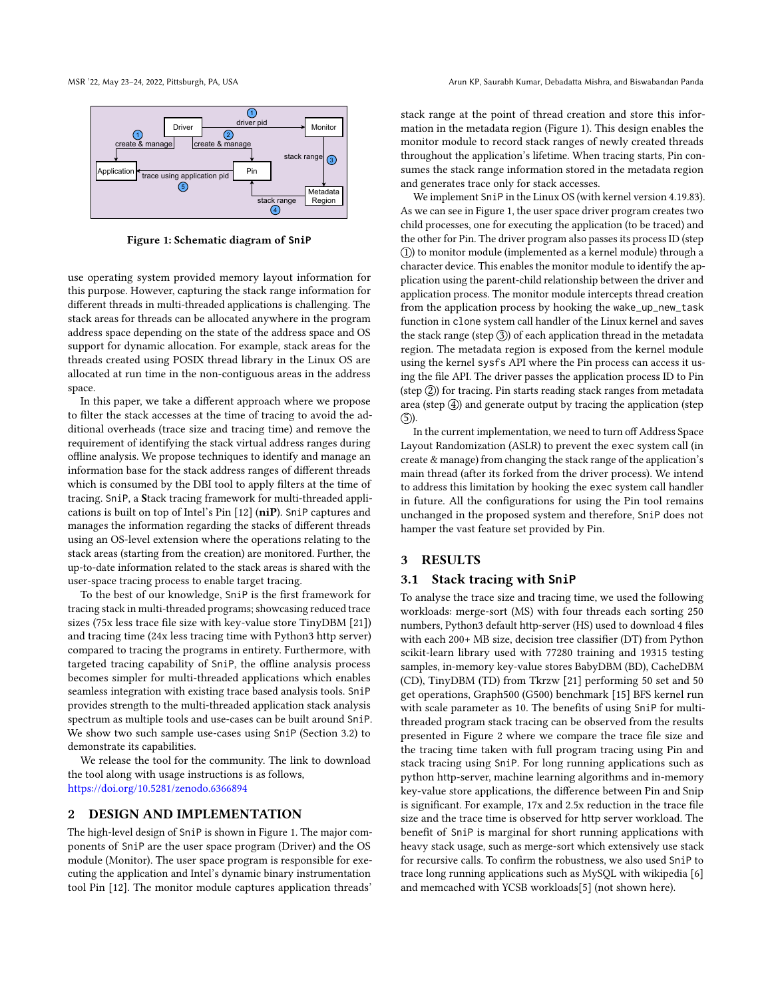<span id="page-1-1"></span>

Figure 1: Schematic diagram of **SniP**

use operating system provided memory layout information for this purpose. However, capturing the stack range information for different threads in multi-threaded applications is challenging. The stack areas for threads can be allocated anywhere in the program address space depending on the state of the address space and OS support for dynamic allocation. For example, stack areas for the threads created using POSIX thread library in the Linux OS are allocated at run time in the non-contiguous areas in the address space.

In this paper, we take a different approach where we propose to filter the stack accesses at the time of tracing to avoid the additional overheads (trace size and tracing time) and remove the requirement of identifying the stack virtual address ranges during offline analysis. We propose techniques to identify and manage an information base for the stack address ranges of different threads which is consumed by the DBI tool to apply filters at the time of tracing. SniP, a Stack tracing framework for multi-threaded applications is built on top of Intel's Pin [\[12\]](#page-4-5) (niP). SniP captures and manages the information regarding the stacks of different threads using an OS-level extension where the operations relating to the stack areas (starting from the creation) are monitored. Further, the up-to-date information related to the stack areas is shared with the user-space tracing process to enable target tracing.

To the best of our knowledge, SniP is the first framework for tracing stack in multi-threaded programs; showcasing reduced trace sizes (75x less trace file size with key-value store TinyDBM [\[21\]](#page-4-7)) and tracing time (24x less tracing time with Python3 http server) compared to tracing the programs in entirety. Furthermore, with targeted tracing capability of SniP, the offline analysis process becomes simpler for multi-threaded applications which enables seamless integration with existing trace based analysis tools. SniP provides strength to the multi-threaded application stack analysis spectrum as multiple tools and use-cases can be built around SniP. We show two such sample use-cases using SniP (Section [3.2\)](#page-2-0) to demonstrate its capabilities.

We release the tool for the community. The link to download the tool along with usage instructions is as follows, <https://doi.org/10.5281/zenodo.6366894>

## 2 DESIGN AND IMPLEMENTATION

The high-level design of SniP is shown in Figure [1.](#page-1-1) The major components of SniP are the user space program (Driver) and the OS module (Monitor). The user space program is responsible for executing the application and Intel's dynamic binary instrumentation tool Pin [\[12\]](#page-4-5). The monitor module captures application threads'

stack range at the point of thread creation and store this information in the metadata region (Figure [1\)](#page-1-1). This design enables the monitor module to record stack ranges of newly created threads throughout the application's lifetime. When tracing starts, Pin consumes the stack range information stored in the metadata region and generates trace only for stack accesses.

We implement SniP in the Linux OS (with kernel version 4.19.83). As we can see in Figure [1,](#page-1-1) the user space driver program creates two child processes, one for executing the application (to be traced) and the other for Pin. The driver program also passes its process ID (step 1 ) to monitor module (implemented as a kernel module) through a character device. This enables the monitor module to identify the application using the parent-child relationship between the driver and application process. The monitor module intercepts thread creation from the application process by hooking the wake\_up\_new\_task function in clone system call handler of the Linux kernel and saves the stack range (step  $(3)$ ) of each application thread in the metadata region. The metadata region is exposed from the kernel module using the kernel sysfs API where the Pin process can access it using the file API. The driver passes the application process ID to Pin (step  $(2)$ ) for tracing. Pin starts reading stack ranges from metadata area (step  $\overline{4}$ ) and generate output by tracing the application (step  $(5)$ ).

In the current implementation, we need to turn off Address Space Layout Randomization (ASLR) to prevent the exec system call (in create & manage) from changing the stack range of the application's main thread (after its forked from the driver process). We intend to address this limitation by hooking the exec system call handler in future. All the configurations for using the Pin tool remains unchanged in the proposed system and therefore, SniP does not hamper the vast feature set provided by Pin.

## 3 RESULTS

#### <span id="page-1-0"></span>3.1 Stack tracing with **SniP**

To analyse the trace size and tracing time, we used the following workloads: merge-sort (MS) with four threads each sorting 250 numbers, Python3 default http-server (HS) used to download 4 files with each 200+ MB size, decision tree classifier (DT) from Python scikit-learn library used with 77280 training and 19315 testing samples, in-memory key-value stores BabyDBM (BD), CacheDBM (CD), TinyDBM (TD) from Tkrzw [\[21\]](#page-4-7) performing 50 set and 50 get operations, Graph500 (G500) benchmark [\[15\]](#page-4-8) BFS kernel run with scale parameter as 10. The benefits of using SniP for multithreaded program stack tracing can be observed from the results presented in Figure [2](#page-2-1) where we compare the trace file size and the tracing time taken with full program tracing using Pin and stack tracing using SniP. For long running applications such as python http-server, machine learning algorithms and in-memory key-value store applications, the difference between Pin and Snip is significant. For example, 17x and 2.5x reduction in the trace file size and the trace time is observed for http server workload. The benefit of SniP is marginal for short running applications with heavy stack usage, such as merge-sort which extensively use stack for recursive calls. To confirm the robustness, we also used SniP to trace long running applications such as MySQL with wikipedia [\[6\]](#page-4-9) and memcached with YCSB workloads[\[5\]](#page-4-10) (not shown here).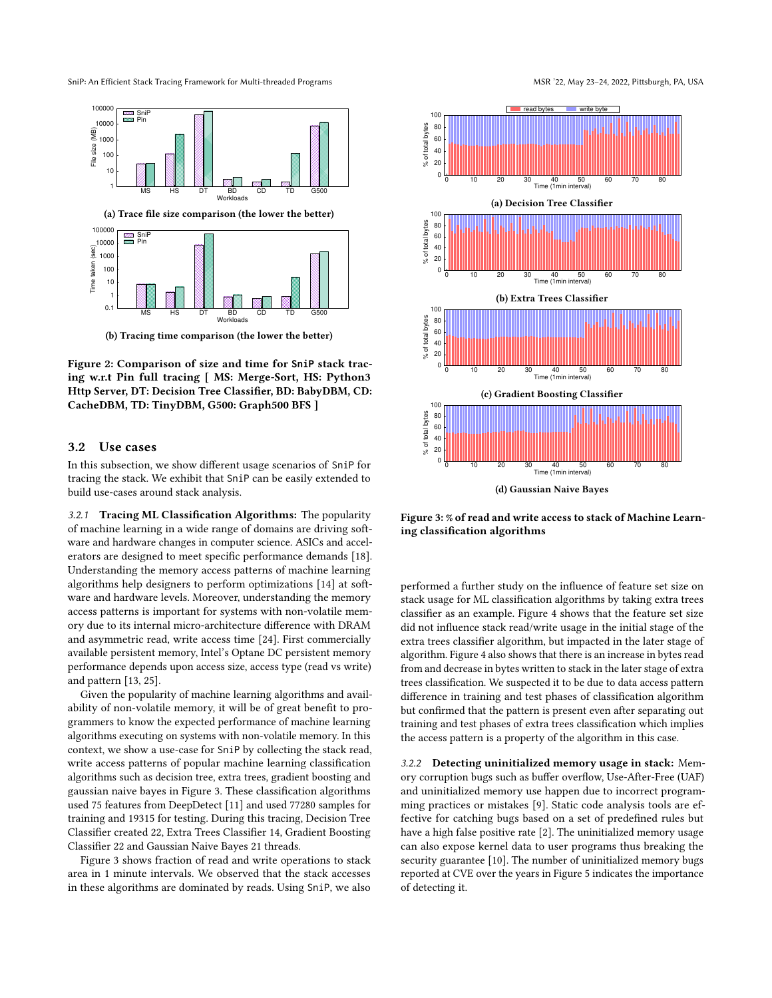<span id="page-2-1"></span>SniP: An Efficient Stack Tracing Framework for Multi-threaded Programs MSR '22, May 23-24, 2022, Pittsburgh, PA, USA



(b) Tracing time comparison (the lower the better)

Figure 2: Comparison of size and time for **SniP** stack tracing w.r.t Pin full tracing [ MS: Merge-Sort, HS: Python3 Http Server, DT: Decision Tree Classifier, BD: BabyDBM, CD: CacheDBM, TD: TinyDBM, G500: Graph500 BFS ]

### <span id="page-2-0"></span>3.2 Use cases

In this subsection, we show different usage scenarios of SniP for tracing the stack. We exhibit that SniP can be easily extended to build use-cases around stack analysis.

3.2.1 Tracing ML Classification Algorithms: The popularity of machine learning in a wide range of domains are driving software and hardware changes in computer science. ASICs and accelerators are designed to meet specific performance demands [\[18\]](#page-4-11). Understanding the memory access patterns of machine learning algorithms help designers to perform optimizations [\[14\]](#page-4-12) at software and hardware levels. Moreover, understanding the memory access patterns is important for systems with non-volatile memory due to its internal micro-architecture difference with DRAM and asymmetric read, write access time [\[24\]](#page-4-13). First commercially available persistent memory, Intel's Optane DC persistent memory performance depends upon access size, access type (read vs write) and pattern [\[13,](#page-4-14) [25\]](#page-4-15).

Given the popularity of machine learning algorithms and availability of non-volatile memory, it will be of great benefit to programmers to know the expected performance of machine learning algorithms executing on systems with non-volatile memory. In this context, we show a use-case for SniP by collecting the stack read, write access patterns of popular machine learning classification algorithms such as decision tree, extra trees, gradient boosting and gaussian naive bayes in Figure [3.](#page-2-2) These classification algorithms used 75 features from DeepDetect [\[11\]](#page-4-16) and used 77280 samples for training and 19315 for testing. During this tracing, Decision Tree Classifier created 22, Extra Trees Classifier 14, Gradient Boosting Classifier 22 and Gaussian Naive Bayes 21 threads.

Figure [3](#page-2-2) shows fraction of read and write operations to stack area in 1 minute intervals. We observed that the stack accesses in these algorithms are dominated by reads. Using SniP, we also



<span id="page-2-2"></span>

(d) Gaussian Naive Bayes

Figure 3: % of read and write access to stack of Machine Learning classification algorithms

performed a further study on the influence of feature set size on stack usage for ML classification algorithms by taking extra trees classifier as an example. Figure [4](#page-3-0) shows that the feature set size did not influence stack read/write usage in the initial stage of the extra trees classifier algorithm, but impacted in the later stage of algorithm. Figure [4](#page-3-0) also shows that there is an increase in bytes read from and decrease in bytes written to stack in the later stage of extra trees classification. We suspected it to be due to data access pattern difference in training and test phases of classification algorithm but confirmed that the pattern is present even after separating out training and test phases of extra trees classification which implies the access pattern is a property of the algorithm in this case.

3.2.2 Detecting uninitialized memory usage in stack: Memory corruption bugs such as buffer overflow, Use-After-Free (UAF) and uninitialized memory use happen due to incorrect programming practices or mistakes [\[9\]](#page-4-17). Static code analysis tools are effective for catching bugs based on a set of predefined rules but have a high false positive rate [\[2\]](#page-4-18). The uninitialized memory usage can also expose kernel data to user programs thus breaking the security guarantee [\[10\]](#page-4-19). The number of uninitialized memory bugs reported at CVE over the years in Figure [5](#page-3-1) indicates the importance of detecting it.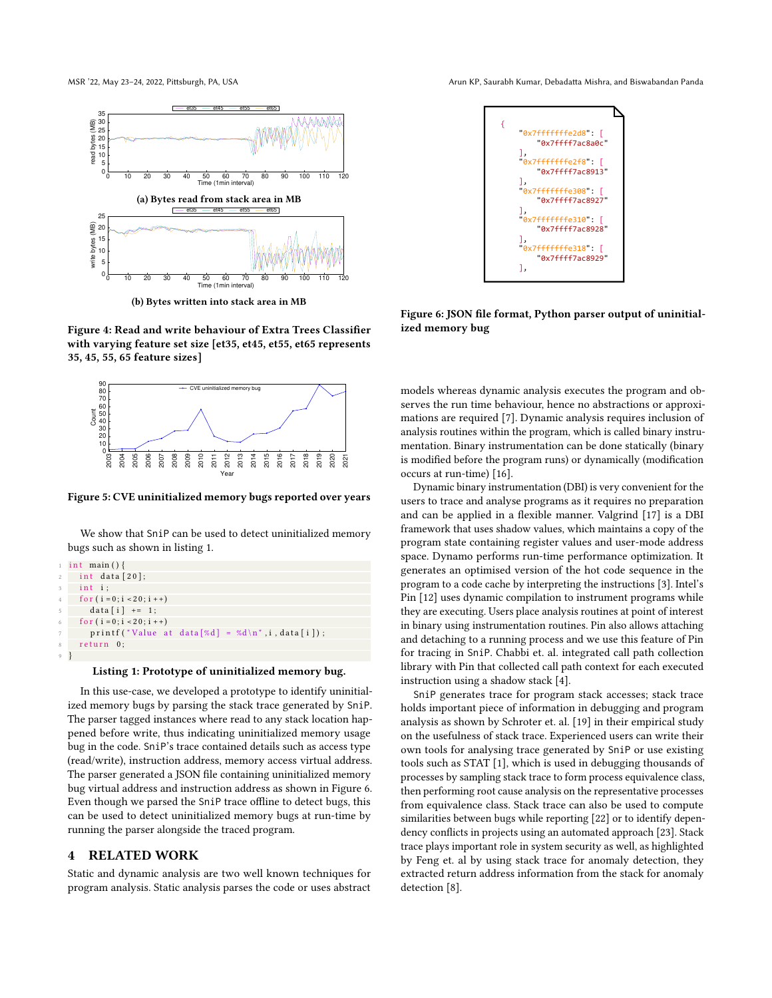<span id="page-3-0"></span>

(b) Bytes written into stack area in MB

Figure 4: Read and write behaviour of Extra Trees Classifier with varying feature set size [et35, et45, et55, et65 represents 35, 45, 55, 65 feature sizes]

<span id="page-3-1"></span>

Figure 5: CVE uninitialized memory bugs reported over years

We show that SniP can be used to detect uninitialized memory bugs such as shown in listing [1.](#page-3-2)

```
1 int main () {
   int data [20];
   int i;
   for (i = 0; i < 20; i++)data[i] += 1;for (i = 0; i < 20; i + +)
     printf ("Value at data [%d] = %d\n", i, data [i]);
   return 0;
9 }
```
#### Listing 1: Prototype of uninitialized memory bug.

In this use-case, we developed a prototype to identify uninitialized memory bugs by parsing the stack trace generated by SniP. The parser tagged instances where read to any stack location happened before write, thus indicating uninitialized memory usage bug in the code. SniP's trace contained details such as access type (read/write), instruction address, memory access virtual address. The parser generated a JSON file containing uninitialized memory bug virtual address and instruction address as shown in Figure [6.](#page-3-3) Even though we parsed the SniP trace offline to detect bugs, this can be used to detect uninitialized memory bugs at run-time by running the parser alongside the traced program.

# 4 RELATED WORK

Static and dynamic analysis are two well known techniques for program analysis. Static analysis parses the code or uses abstract

<span id="page-3-3"></span>

Figure 6: JSON file format, Python parser output of uninitialized memory bug

models whereas dynamic analysis executes the program and observes the run time behaviour, hence no abstractions or approximations are required [\[7\]](#page-4-20). Dynamic analysis requires inclusion of analysis routines within the program, which is called binary instrumentation. Binary instrumentation can be done statically (binary is modified before the program runs) or dynamically (modification occurs at run-time) [\[16\]](#page-4-21).

Dynamic binary instrumentation (DBI) is very convenient for the users to trace and analyse programs as it requires no preparation and can be applied in a flexible manner. Valgrind [\[17\]](#page-4-6) is a DBI framework that uses shadow values, which maintains a copy of the program state containing register values and user-mode address space. Dynamo performs run-time performance optimization. It generates an optimised version of the hot code sequence in the program to a code cache by interpreting the instructions [\[3\]](#page-4-22). Intel's Pin [\[12\]](#page-4-5) uses dynamic compilation to instrument programs while they are executing. Users place analysis routines at point of interest in binary using instrumentation routines. Pin also allows attaching and detaching to a running process and we use this feature of Pin for tracing in SniP. Chabbi et. al. integrated call path collection library with Pin that collected call path context for each executed instruction using a shadow stack [\[4\]](#page-4-23).

SniP generates trace for program stack accesses; stack trace holds important piece of information in debugging and program analysis as shown by Schroter et. al. [\[19\]](#page-4-24) in their empirical study on the usefulness of stack trace. Experienced users can write their own tools for analysing trace generated by SniP or use existing tools such as STAT [\[1\]](#page-4-2), which is used in debugging thousands of processes by sampling stack trace to form process equivalence class, then performing root cause analysis on the representative processes from equivalence class. Stack trace can also be used to compute similarities between bugs while reporting [\[22\]](#page-4-25) or to identify dependency conflicts in projects using an automated approach [\[23\]](#page-4-4). Stack trace plays important role in system security as well, as highlighted by Feng et. al by using stack trace for anomaly detection, they extracted return address information from the stack for anomaly detection [\[8\]](#page-4-3).